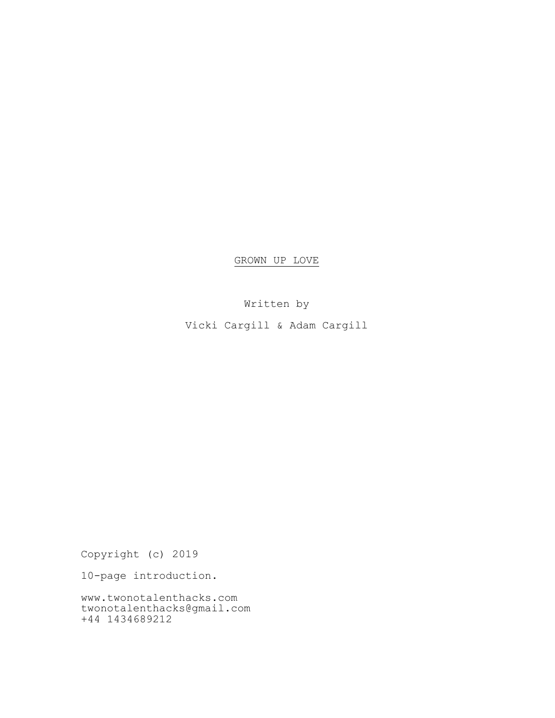GROWN UP LOVE

Written by

Vicki Cargill & Adam Cargill

Copyright (c) 2019

10-page introduction.

www.twonotalenthacks.com twonotalenthacks@gmail.com +44 1434689212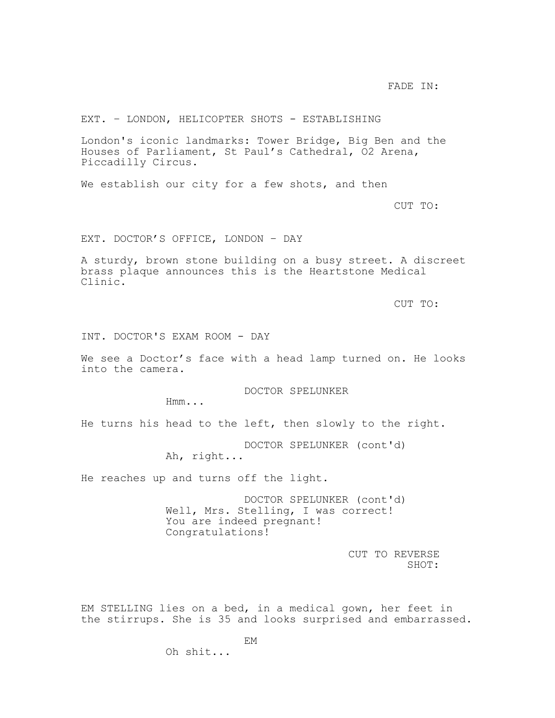FADE IN:

# EXT. – LONDON, HELICOPTER SHOTS - ESTABLISHING

London's iconic landmarks: Tower Bridge, Big Ben and the Houses of Parliament, St Paul's Cathedral, O2 Arena, Piccadilly Circus.

We establish our city for a few shots, and then

CUT TO:

EXT. DOCTOR'S OFFICE, LONDON – DAY

A sturdy, brown stone building on a busy street. A discreet brass plaque announces this is the Heartstone Medical Clinic.

CUT TO:

INT. DOCTOR'S EXAM ROOM - DAY

We see a Doctor's face with a head lamp turned on. He looks into the camera.

DOCTOR SPELUNKER

Hmm...

He turns his head to the left, then slowly to the right.

DOCTOR SPELUNKER (cont'd)

Ah, right...

He reaches up and turns off the light.

Oh shit...

DOCTOR SPELUNKER (cont'd) Well, Mrs. Stelling, I was correct! You are indeed pregnant! Congratulations!

> CUT TO REVERSE SHOT:

EM STELLING lies on a bed, in a medical gown, her feet in the stirrups. She is 35 and looks surprised and embarrassed.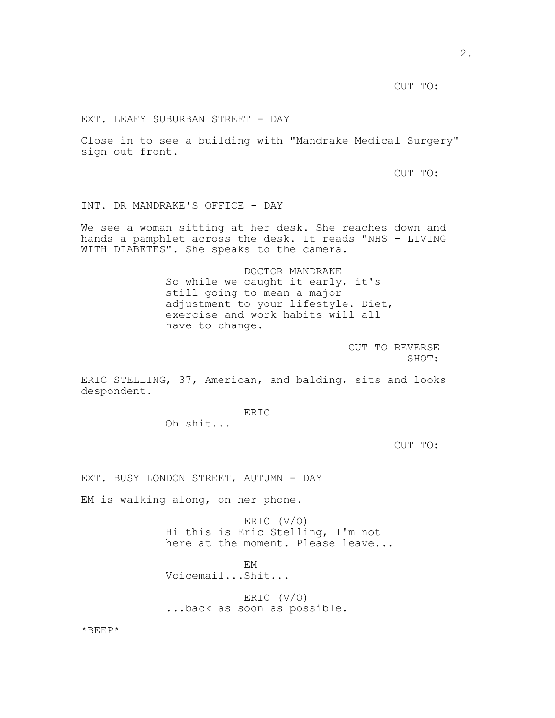CUT TO:

EXT. LEAFY SUBURBAN STREET - DAY

Close in to see a building with "Mandrake Medical Surgery" sign out front.

CUT TO:

INT. DR MANDRAKE'S OFFICE - DAY

We see a woman sitting at her desk. She reaches down and hands a pamphlet across the desk. It reads "NHS - LIVING WITH DIABETES". She speaks to the camera.

> DOCTOR MANDRAKE So while we caught it early, it's still going to mean a major adjustment to your lifestyle. Diet, exercise and work habits will all have to change.

> > CUT TO REVERSE SHOT:

ERIC STELLING, 37, American, and balding, sits and looks despondent.

ERIC

Oh shit...

CUT TO:

EXT. BUSY LONDON STREET, AUTUMN - DAY

EM is walking along, on her phone.

ERIC (V/O) Hi this is Eric Stelling, I'm not here at the moment. Please leave...

EM

Voicemail...Shit...

ERIC (V/O) ...back as soon as possible.

\*BEEP\*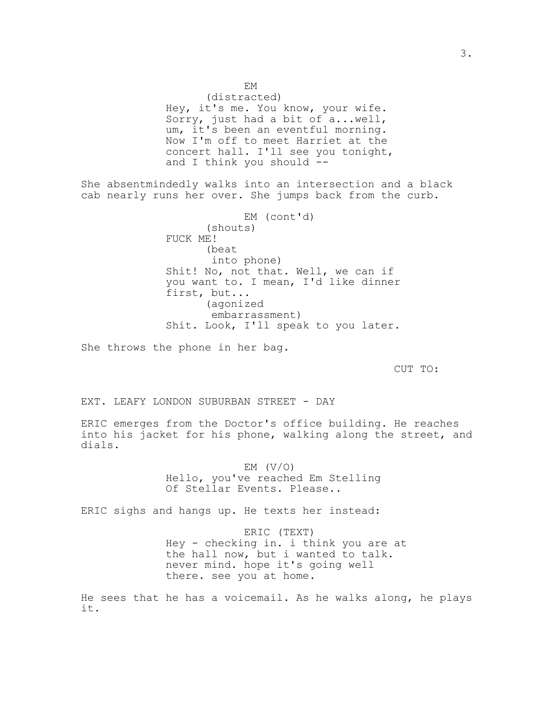EM (distracted) Hey, it's me. You know, your wife. Sorry, just had a bit of a...well, um, it's been an eventful morning. Now I'm off to meet Harriet at the concert hall. I'll see you tonight, and I think you should --

She absentmindedly walks into an intersection and a black cab nearly runs her over. She jumps back from the curb.

> EM (cont'd) (shouts) FUCK ME! (beat into phone) Shit! No, not that. Well, we can if you want to. I mean, I'd like dinner first, but... (agonized embarrassment) Shit. Look, I'll speak to you later.

She throws the phone in her bag.

CUT TO:

EXT. LEAFY LONDON SUBURBAN STREET - DAY

ERIC emerges from the Doctor's office building. He reaches into his jacket for his phone, walking along the street, and dials.

> EM  $(V/O)$ Hello, you've reached Em Stelling Of Stellar Events. Please..

ERIC sighs and hangs up. He texts her instead:

ERIC (TEXT) Hey - checking in. i think you are at the hall now, but i wanted to talk. never mind. hope it's going well there. see you at home.

He sees that he has a voicemail. As he walks along, he plays it.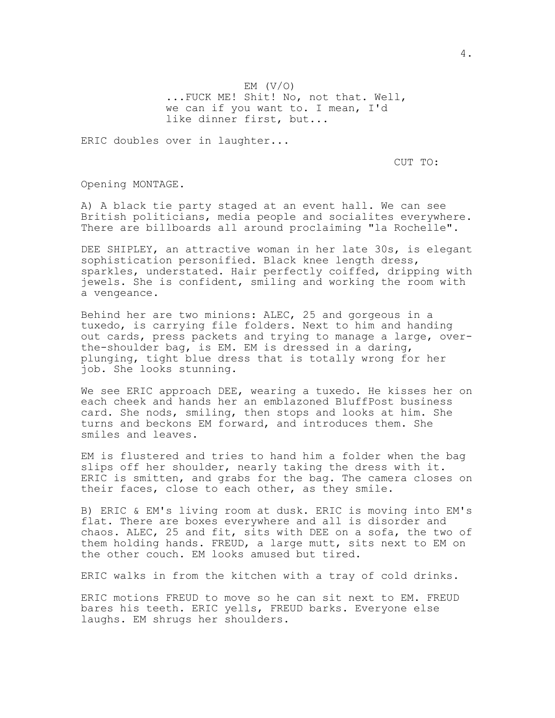EM  $(V/O)$ ...FUCK ME! Shit! No, not that. Well, we can if you want to. I mean, I'd like dinner first, but...

ERIC doubles over in laughter...

CUT TO:

Opening MONTAGE.

A) A black tie party staged at an event hall. We can see British politicians, media people and socialites everywhere. There are billboards all around proclaiming "la Rochelle".

DEE SHIPLEY, an attractive woman in her late 30s, is elegant sophistication personified. Black knee length dress, sparkles, understated. Hair perfectly coiffed, dripping with jewels. She is confident, smiling and working the room with a vengeance.

Behind her are two minions: ALEC, 25 and gorgeous in a tuxedo, is carrying file folders. Next to him and handing out cards, press packets and trying to manage a large, overthe-shoulder bag, is EM. EM is dressed in a daring, plunging, tight blue dress that is totally wrong for her job. She looks stunning.

We see ERIC approach DEE, wearing a tuxedo. He kisses her on each cheek and hands her an emblazoned BluffPost business card. She nods, smiling, then stops and looks at him. She turns and beckons EM forward, and introduces them. She smiles and leaves.

EM is flustered and tries to hand him a folder when the bag slips off her shoulder, nearly taking the dress with it. ERIC is smitten, and grabs for the bag. The camera closes on their faces, close to each other, as they smile.

B) ERIC & EM's living room at dusk. ERIC is moving into EM's flat. There are boxes everywhere and all is disorder and chaos. ALEC, 25 and fit, sits with DEE on a sofa, the two of them holding hands. FREUD, a large mutt, sits next to EM on the other couch. EM looks amused but tired.

ERIC walks in from the kitchen with a tray of cold drinks.

ERIC motions FREUD to move so he can sit next to EM. FREUD bares his teeth. ERIC yells, FREUD barks. Everyone else laughs. EM shrugs her shoulders.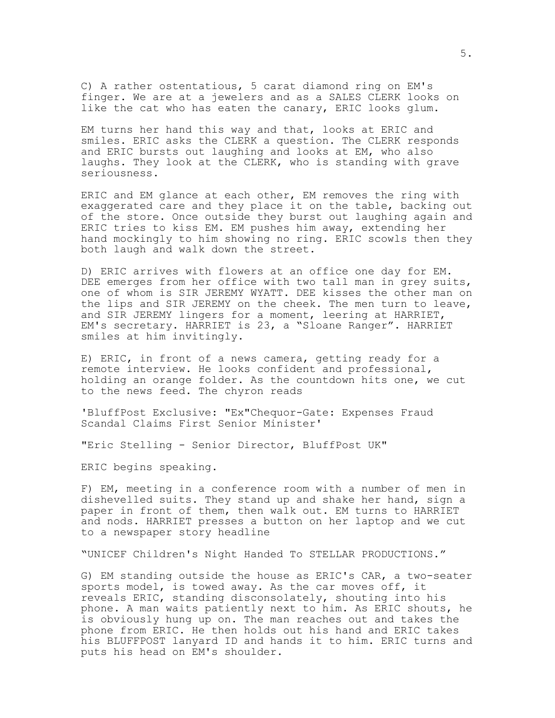C) A rather ostentatious, 5 carat diamond ring on EM's finger. We are at a jewelers and as a SALES CLERK looks on like the cat who has eaten the canary, ERIC looks glum.

EM turns her hand this way and that, looks at ERIC and smiles. ERIC asks the CLERK a question. The CLERK responds and ERIC bursts out laughing and looks at EM, who also laughs. They look at the CLERK, who is standing with grave seriousness.

ERIC and EM glance at each other, EM removes the ring with exaggerated care and they place it on the table, backing out of the store. Once outside they burst out laughing again and ERIC tries to kiss EM. EM pushes him away, extending her hand mockingly to him showing no ring. ERIC scowls then they both laugh and walk down the street.

D) ERIC arrives with flowers at an office one day for EM. DEE emerges from her office with two tall man in grey suits, one of whom is SIR JEREMY WYATT. DEE kisses the other man on the lips and SIR JEREMY on the cheek. The men turn to leave, and SIR JEREMY lingers for a moment, leering at HARRIET, EM's secretary. HARRIET is 23, a "Sloane Ranger". HARRIET smiles at him invitingly.

E) ERIC, in front of a news camera, getting ready for a remote interview. He looks confident and professional, holding an orange folder. As the countdown hits one, we cut to the news feed. The chyron reads

'BluffPost Exclusive: "Ex"Chequor-Gate: Expenses Fraud Scandal Claims First Senior Minister'

"Eric Stelling - Senior Director, BluffPost UK"

ERIC begins speaking.

F) EM, meeting in a conference room with a number of men in dishevelled suits. They stand up and shake her hand, sign a paper in front of them, then walk out. EM turns to HARRIET and nods. HARRIET presses a button on her laptop and we cut to a newspaper story headline

"UNICEF Children's Night Handed To STELLAR PRODUCTIONS."

G) EM standing outside the house as ERIC's CAR, a two-seater sports model, is towed away. As the car moves off, it reveals ERIC, standing disconsolately, shouting into his phone. A man waits patiently next to him. As ERIC shouts, he is obviously hung up on. The man reaches out and takes the phone from ERIC. He then holds out his hand and ERIC takes his BLUFFPOST lanyard ID and hands it to him. ERIC turns and puts his head on EM's shoulder.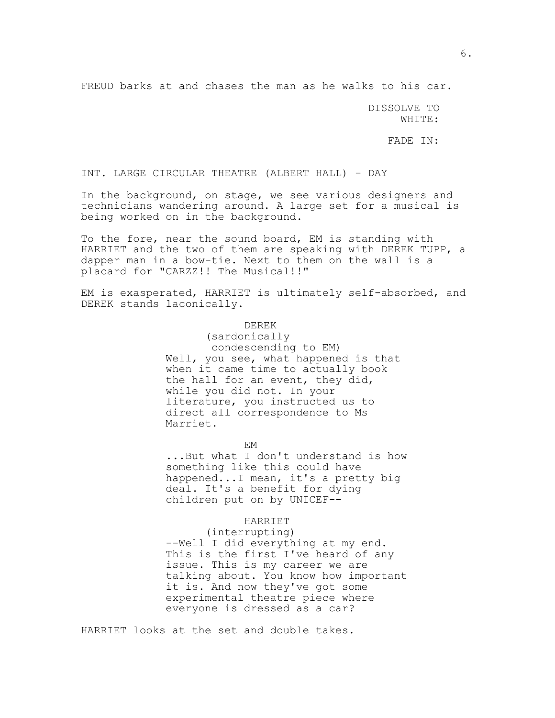FREUD barks at and chases the man as he walks to his car.

DISSOLVE TO WHITE:

FADE IN:

INT. LARGE CIRCULAR THEATRE (ALBERT HALL) - DAY

In the background, on stage, we see various designers and technicians wandering around. A large set for a musical is being worked on in the background.

To the fore, near the sound board, EM is standing with HARRIET and the two of them are speaking with DEREK TUPP, a dapper man in a bow-tie. Next to them on the wall is a placard for "CARZZ!! The Musical!!"

EM is exasperated, HARRIET is ultimately self-absorbed, and DEREK stands laconically.

## DEREK

(sardonically condescending to EM) Well, you see, what happened is that when it came time to actually book the hall for an event, they did, while you did not. In your literature, you instructed us to direct all correspondence to Ms Marriet.

EM

...But what I don't understand is how something like this could have happened...I mean, it's a pretty big deal. It's a benefit for dying children put on by UNICEF--

#### HARRIET

(interrupting)

--Well I did everything at my end. This is the first I've heard of any issue. This is my career we are talking about. You know how important it is. And now they've got some experimental theatre piece where everyone is dressed as a car?

HARRIET looks at the set and double takes.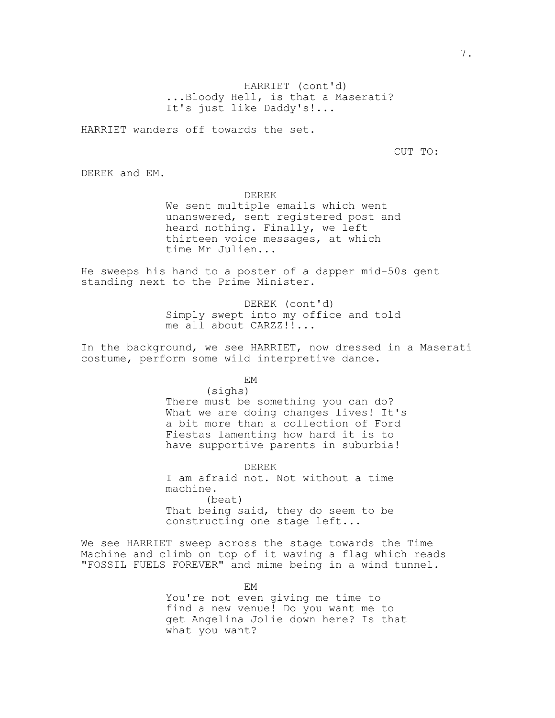HARRIET (cont'd) ...Bloody Hell, is that a Maserati? It's just like Daddy's!...

HARRIET wanders off towards the set.

CUT TO:

DEREK and EM.

DEREK

We sent multiple emails which went unanswered, sent registered post and heard nothing. Finally, we left thirteen voice messages, at which time Mr Julien...

He sweeps his hand to a poster of a dapper mid-50s gent standing next to the Prime Minister.

> DEREK (cont'd) Simply swept into my office and told me all about CARZZ!!...

In the background, we see HARRIET, now dressed in a Maserati costume, perform some wild interpretive dance.

EM

(sighs) There must be something you can do? What we are doing changes lives! It's a bit more than a collection of Ford Fiestas lamenting how hard it is to have supportive parents in suburbia!

DEREK I am afraid not. Not without a time machine. (beat) That being said, they do seem to be constructing one stage left...

We see HARRIET sweep across the stage towards the Time Machine and climb on top of it waving a flag which reads "FOSSIL FUELS FOREVER" and mime being in a wind tunnel.

> EM You're not even giving me time to find a new venue! Do you want me to get Angelina Jolie down here? Is that what you want?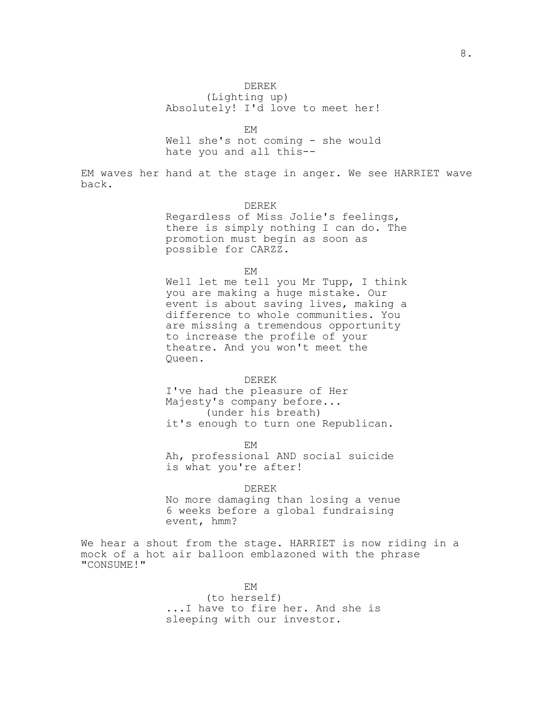## DEREK

(Lighting up) Absolutely! I'd love to meet her!

EM

Well she's not coming - she would hate you and all this--

EM waves her hand at the stage in anger. We see HARRIET wave back.

### DEREK

Regardless of Miss Jolie's feelings, there is simply nothing I can do. The promotion must begin as soon as possible for CARZZ.

EM

Well let me tell you Mr Tupp, I think you are making a huge mistake. Our event is about saving lives, making a difference to whole communities. You are missing a tremendous opportunity to increase the profile of your theatre. And you won't meet the Queen.

### DEREK

I've had the pleasure of Her Majesty's company before... (under his breath) it's enough to turn one Republican.

EM

Ah, professional AND social suicide is what you're after!

DEREK

No more damaging than losing a venue 6 weeks before a global fundraising event, hmm?

We hear a shout from the stage. HARRIET is now riding in a mock of a hot air balloon emblazoned with the phrase "CONSUME!"

EM

(to herself) ...I have to fire her. And she is sleeping with our investor.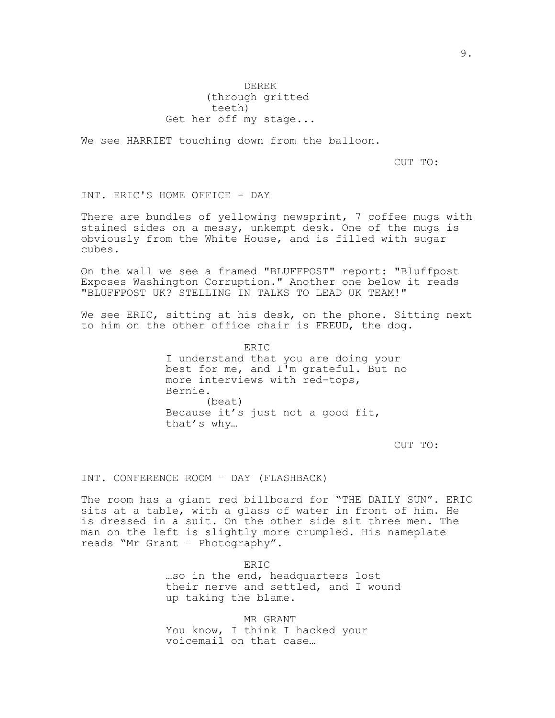DEREK (through gritted teeth) Get her off my stage...

We see HARRIET touching down from the balloon.

CUT TO:

INT. ERIC'S HOME OFFICE - DAY

There are bundles of yellowing newsprint, 7 coffee mugs with stained sides on a messy, unkempt desk. One of the mugs is obviously from the White House, and is filled with sugar cubes.

On the wall we see a framed "BLUFFPOST" report: "Bluffpost Exposes Washington Corruption." Another one below it reads "BLUFFPOST UK? STELLING IN TALKS TO LEAD UK TEAM!"

We see ERIC, sitting at his desk, on the phone. Sitting next to him on the other office chair is FREUD, the dog.

> ERIC I understand that you are doing your best for me, and I'm grateful. But no more interviews with red-tops, Bernie. (beat) Because it's just not a good fit, that's why…

> > CUT TO:

INT. CONFERENCE ROOM – DAY (FLASHBACK)

The room has a giant red billboard for "THE DAILY SUN". ERIC sits at a table, with a glass of water in front of him. He is dressed in a suit. On the other side sit three men. The man on the left is slightly more crumpled. His nameplate reads "Mr Grant – Photography".

> ERIC …so in the end, headquarters lost their nerve and settled, and I wound up taking the blame.

MR GRANT You know, I think I hacked your voicemail on that case…